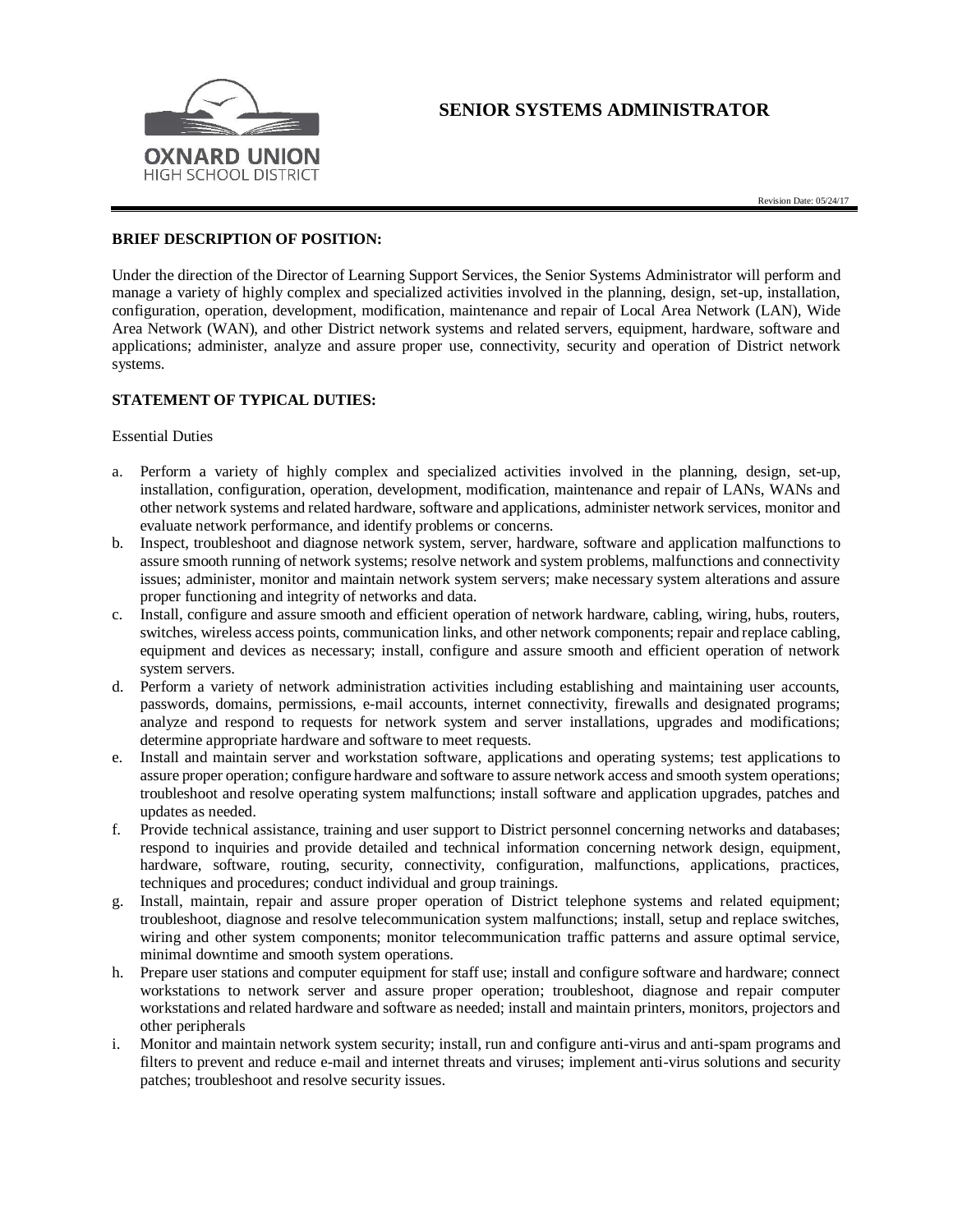

# **SENIOR SYSTEMS ADMINISTRATOR**

# **BRIEF DESCRIPTION OF POSITION:**

Under the direction of the Director of Learning Support Services, the Senior Systems Administrator will perform and manage a variety of highly complex and specialized activities involved in the planning, design, set-up, installation, configuration, operation, development, modification, maintenance and repair of Local Area Network (LAN), Wide Area Network (WAN), and other District network systems and related servers, equipment, hardware, software and applications; administer, analyze and assure proper use, connectivity, security and operation of District network systems.

### **STATEMENT OF TYPICAL DUTIES:**

#### Essential Duties

- a. Perform a variety of highly complex and specialized activities involved in the planning, design, set-up, installation, configuration, operation, development, modification, maintenance and repair of LANs, WANs and other network systems and related hardware, software and applications, administer network services, monitor and evaluate network performance, and identify problems or concerns.
- b. Inspect, troubleshoot and diagnose network system, server, hardware, software and application malfunctions to assure smooth running of network systems; resolve network and system problems, malfunctions and connectivity issues; administer, monitor and maintain network system servers; make necessary system alterations and assure proper functioning and integrity of networks and data.
- c. Install, configure and assure smooth and efficient operation of network hardware, cabling, wiring, hubs, routers, switches, wireless access points, communication links, and other network components; repair and replace cabling, equipment and devices as necessary; install, configure and assure smooth and efficient operation of network system servers.
- d. Perform a variety of network administration activities including establishing and maintaining user accounts, passwords, domains, permissions, e-mail accounts, internet connectivity, firewalls and designated programs; analyze and respond to requests for network system and server installations, upgrades and modifications; determine appropriate hardware and software to meet requests.
- e. Install and maintain server and workstation software, applications and operating systems; test applications to assure proper operation; configure hardware and software to assure network access and smooth system operations; troubleshoot and resolve operating system malfunctions; install software and application upgrades, patches and updates as needed.
- f. Provide technical assistance, training and user support to District personnel concerning networks and databases; respond to inquiries and provide detailed and technical information concerning network design, equipment, hardware, software, routing, security, connectivity, configuration, malfunctions, applications, practices, techniques and procedures; conduct individual and group trainings.
- g. Install, maintain, repair and assure proper operation of District telephone systems and related equipment; troubleshoot, diagnose and resolve telecommunication system malfunctions; install, setup and replace switches, wiring and other system components; monitor telecommunication traffic patterns and assure optimal service, minimal downtime and smooth system operations.
- h. Prepare user stations and computer equipment for staff use; install and configure software and hardware; connect workstations to network server and assure proper operation; troubleshoot, diagnose and repair computer workstations and related hardware and software as needed; install and maintain printers, monitors, projectors and other peripherals
- i. Monitor and maintain network system security; install, run and configure anti-virus and anti-spam programs and filters to prevent and reduce e-mail and internet threats and viruses; implement anti-virus solutions and security patches; troubleshoot and resolve security issues.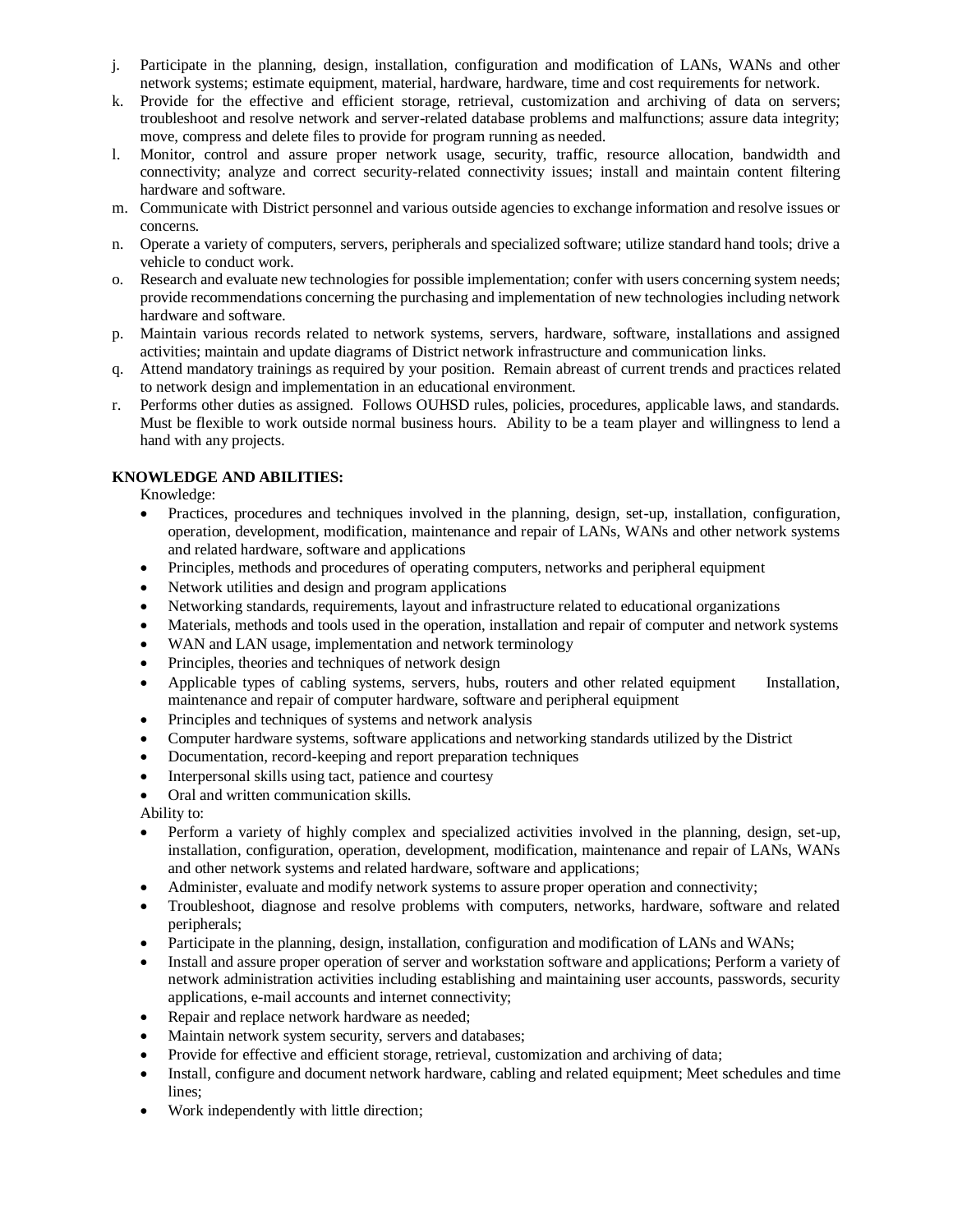- j. Participate in the planning, design, installation, configuration and modification of LANs, WANs and other network systems; estimate equipment, material, hardware, hardware, time and cost requirements for network.
- k. Provide for the effective and efficient storage, retrieval, customization and archiving of data on servers; troubleshoot and resolve network and server-related database problems and malfunctions; assure data integrity; move, compress and delete files to provide for program running as needed.
- l. Monitor, control and assure proper network usage, security, traffic, resource allocation, bandwidth and connectivity; analyze and correct security-related connectivity issues; install and maintain content filtering hardware and software.
- m. Communicate with District personnel and various outside agencies to exchange information and resolve issues or concerns.
- n. Operate a variety of computers, servers, peripherals and specialized software; utilize standard hand tools; drive a vehicle to conduct work.
- o. Research and evaluate new technologies for possible implementation; confer with users concerning system needs; provide recommendations concerning the purchasing and implementation of new technologies including network hardware and software.
- p. Maintain various records related to network systems, servers, hardware, software, installations and assigned activities; maintain and update diagrams of District network infrastructure and communication links.
- q. Attend mandatory trainings as required by your position. Remain abreast of current trends and practices related to network design and implementation in an educational environment.
- r. Performs other duties as assigned. Follows OUHSD rules, policies, procedures, applicable laws, and standards. Must be flexible to work outside normal business hours. Ability to be a team player and willingness to lend a hand with any projects.

# **KNOWLEDGE AND ABILITIES:**

Knowledge:

- Practices, procedures and techniques involved in the planning, design, set-up, installation, configuration, operation, development, modification, maintenance and repair of LANs, WANs and other network systems and related hardware, software and applications
- Principles, methods and procedures of operating computers, networks and peripheral equipment
- Network utilities and design and program applications
- Networking standards, requirements, layout and infrastructure related to educational organizations
- Materials, methods and tools used in the operation, installation and repair of computer and network systems
- WAN and LAN usage, implementation and network terminology
- Principles, theories and techniques of network design
- Applicable types of cabling systems, servers, hubs, routers and other related equipment Installation, maintenance and repair of computer hardware, software and peripheral equipment
- Principles and techniques of systems and network analysis
- Computer hardware systems, software applications and networking standards utilized by the District
- Documentation, record-keeping and report preparation techniques
- Interpersonal skills using tact, patience and courtesy
- Oral and written communication skills.

Ability to:

- Perform a variety of highly complex and specialized activities involved in the planning, design, set-up, installation, configuration, operation, development, modification, maintenance and repair of LANs, WANs and other network systems and related hardware, software and applications;
- Administer, evaluate and modify network systems to assure proper operation and connectivity;
- Troubleshoot, diagnose and resolve problems with computers, networks, hardware, software and related peripherals;
- Participate in the planning, design, installation, configuration and modification of LANs and WANs;
- Install and assure proper operation of server and workstation software and applications; Perform a variety of network administration activities including establishing and maintaining user accounts, passwords, security applications, e-mail accounts and internet connectivity;
- Repair and replace network hardware as needed;
- Maintain network system security, servers and databases;
- Provide for effective and efficient storage, retrieval, customization and archiving of data;
- Install, configure and document network hardware, cabling and related equipment; Meet schedules and time lines;
- Work independently with little direction;